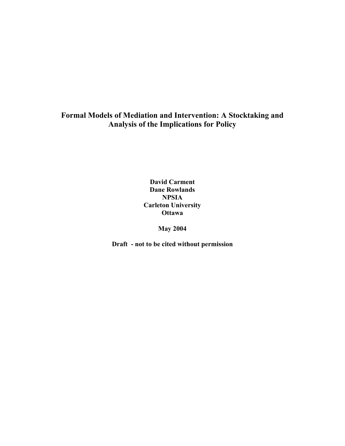# **Formal Models of Mediation and Intervention: A Stocktaking and Analysis of the Implications for Policy**

**David Carment Dane Rowlands NPSIA Carleton University Ottawa** 

**May 2004** 

**Draft - not to be cited without permission**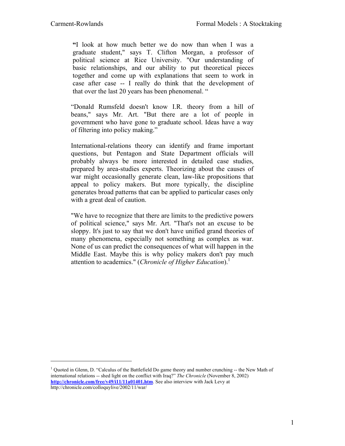**"**I look at how much better we do now than when I was a graduate student," says T. Clifton Morgan, a professor of political science at Rice University. "Our understanding of basic relationships, and our ability to put theoretical pieces together and come up with explanations that seem to work in case after case -- I really do think that the development of that over the last 20 years has been phenomenal. "

"Donald Rumsfeld doesn't know I.R. theory from a hill of beans," says Mr. Art. "But there are a lot of people in government who have gone to graduate school. Ideas have a way of filtering into policy making."

International-relations theory can identify and frame important questions, but Pentagon and State Department officials will probably always be more interested in detailed case studies, prepared by area-studies experts. Theorizing about the causes of war might occasionally generate clean, law-like propositions that appeal to policy makers. But more typically, the discipline generates broad patterns that can be applied to particular cases only with a great deal of caution.

"We have to recognize that there are limits to the predictive powers of political science," says Mr. Art. "That's not an excuse to be sloppy. It's just to say that we don't have unified grand theories of many phenomena, especially not something as complex as war. None of us can predict the consequences of what will happen in the Middle East. Maybe this is why policy makers don't pay much attention to academics." (*Chronicle of Higher Education*).<sup>1</sup>

<sup>&</sup>lt;sup>1</sup> Quoted in Glenn, D. "Calculus of the Battlefield Do game theory and number crunching -- the New Math of international relations -- shed light on the conflict with Iraq?" *The Chronicle* (November 8, 2002) **http://chronicle.com/free/v49/i11/11a01401.htm**. See also interview with Jack Levy at http://chronicle.com/colloquylive/2002/11/war/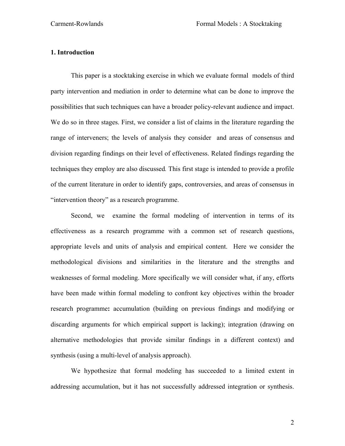### **1. Introduction**

This paper is a stocktaking exercise in which we evaluate formal models of third party intervention and mediation in order to determine what can be done to improve the possibilities that such techniques can have a broader policy-relevant audience and impact. We do so in three stages. First, we consider a list of claims in the literature regarding the range of interveners; the levels of analysis they consider and areas of consensus and division regarding findings on their level of effectiveness. Related findings regarding the techniques they employ are also discussed*.* This first stage is intended to provide a profile of the current literature in order to identify gaps, controversies, and areas of consensus in "intervention theory" as a research programme.

 Second, we examine the formal modeling of intervention in terms of its effectiveness as a research programme with a common set of research questions, appropriate levels and units of analysis and empirical content. Here we consider the methodological divisions and similarities in the literature and the strengths and weaknesses of formal modeling. More specifically we will consider what, if any, efforts have been made within formal modeling to confront key objectives within the broader research programme**:** accumulation (building on previous findings and modifying or discarding arguments for which empirical support is lacking); integration (drawing on alternative methodologies that provide similar findings in a different context) and synthesis (using a multi-level of analysis approach).

 We hypothesize that formal modeling has succeeded to a limited extent in addressing accumulation, but it has not successfully addressed integration or synthesis.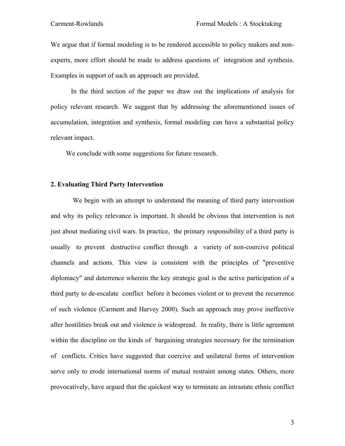We argue that if formal modeling is to be rendered accessible to policy makers and nonexperts, more effort should be made to address questions of integration and synthesis. Examples in support of such an approach are provided.

 In the third section of the paper we draw out the implications of analysis for policy relevant research. We suggest that by addressing the aforementioned issues of accumulation, integration and synthesis, formal modeling can have a substantial policy relevant impact.

We conclude with some suggestions for future research.

### **2. Evaluating Third Party Intervention**

 We begin with an attempt to understand the meaning of third party intervention and why its policy relevance is important. It should be obvious that intervention is not just about mediating civil wars. In practice, the primary responsibility of a third party is usually to prevent destructive conflict through a variety of non-coercive political channels and actions. This view is consistent with the principles of "preventive diplomacy" and deterrence wherein the key strategic goal is the active participation of a third party to de-escalate conflict before it becomes violent or to prevent the recurrence of such violence (Carment and Harvey 2000). Such an approach may prove ineffective after hostilities break out and violence is widespread. In reality, there is little agreement within the discipline on the kinds of bargaining strategies necessary for the termination of conflicts. Critics have suggested that coercive and unilateral forms of intervention serve only to erode international norms of mutual restraint among states. Others, more provocatively, have argued that the quickest way to terminate an intrastate ethnic conflict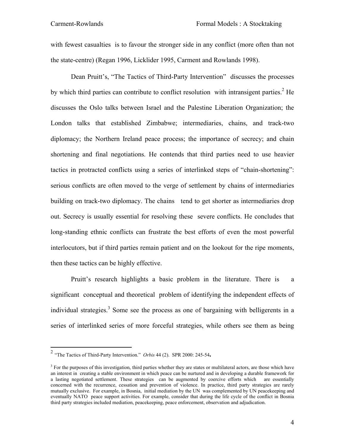with fewest casualties is to favour the stronger side in any conflict (more often than not the state-centre) (Regan 1996, Licklider 1995, Carment and Rowlands 1998).

Dean Pruitt's, "The Tactics of Third-Party Intervention" discusses the processes by which third parties can contribute to conflict resolution with intransigent parties. $2$  He discusses the Oslo talks between Israel and the Palestine Liberation Organization; the London talks that established Zimbabwe; intermediaries, chains, and track-two diplomacy; the Northern Ireland peace process; the importance of secrecy; and chain shortening and final negotiations. He contends that third parties need to use heavier tactics in protracted conflicts using a series of interlinked steps of "chain-shortening": serious conflicts are often moved to the verge of settlement by chains of intermediaries building on track-two diplomacy. The chains tend to get shorter as intermediaries drop out. Secrecy is usually essential for resolving these severe conflicts. He concludes that long-standing ethnic conflicts can frustrate the best efforts of even the most powerful interlocutors, but if third parties remain patient and on the lookout for the ripe moments, then these tactics can be highly effective.

 Pruitt's research highlights a basic problem in the literature. There is a significant conceptual and theoretical problem of identifying the independent effects of individual strategies.<sup>3</sup> Some see the process as one of bargaining with belligerents in a series of interlinked series of more forceful strategies, while others see them as being

 $\overline{a}$ 

<sup>2</sup> "The Tactics of Third-Party Intervention." *Orbis* 44 (2). SPR 2000: 245-54**.** 

<sup>&</sup>lt;sup>3</sup> For the purposes of this investigation, third parties whether they are states or multilateral actors, are those which have an interest in creating a stable environment in which peace can be nurtured and in developing a durable framework for a lasting negotiated settlement. These strategies can be augmented by coercive efforts which are essentially concerned with the recurrence, cessation and prevention of violence. In practice, third party strategies are rarely mutually exclusive. For example, in Bosnia, initial mediation by the UN was complemented by UN peacekeeping and eventually NATO peace support activities. For example, consider that during the life cycle of the conflict in Bosnia third party strategies included mediation, peacekeeping, peace enforcement, observation and adjudication.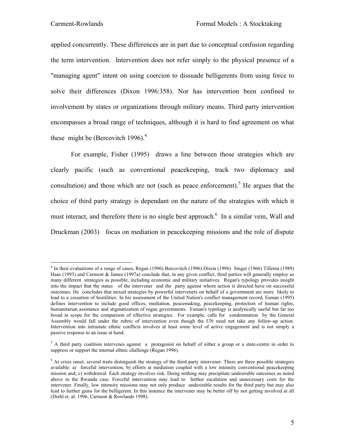applied concurrently. These differences are in part due to conceptual confusion regarding the term intervention. Intervention does not refer simply to the physical presence of a "managing agent" intent on using coercion to dissuade belligerents from using force to solve their differences (Dixon 1996:358). Nor has intervention been confined to involvement by states or organizations through military means. Third party intervention encompasses a broad range of techniques, although it is hard to find agreement on what these might be (Bercovitch 1996). $<sup>4</sup>$ </sup>

For example, Fisher (1995) draws a line between those strategies which are clearly pacific (such as conventional peacekeeping, track two diplomacy and consultation) and those which are not (such as peace enforcement).<sup>5</sup> He argues that the choice of third party strategy is dependant on the nature of the strategies with which it must interact, and therefore there is no single best approach.<sup>6</sup> In a similar vein, Wall and Druckman (2003) focus on mediation in peacekeeping missions and the role of dispute

<sup>&</sup>lt;sup>4</sup> In their evaluations of a range of cases, Regan (1996) Bercovitch (1996) Dixon (1996) Singer (1966) Tillema (1989) Haas (1993) and Carment & James (1997a) conclude that, in any given conflict, third parties will generally employ as many different strategies as possible, including economic and military initiatives. Regan's typology provides insight into the impact that the status of the intervener and the party against whom action is directed have on successful outcomes. He concludes that mixed strategies by powerful interveners on behalf of a government are more likely to lead to a cessation of hostilities. In his assessment of the United Nation's conflict management record, Esman (1995) defines intervention to include good offices, mediation, peacemaking, peacekeeping, protection of human rights, humanitarian assistance and stigmatization of rogue governments. Esman's typology is analytically useful but far too broad in scope for the comparison of effective strategies. For example, calls for condemnation by the General Assembly would fall under the rubric of intervention even though the UN need not take any follow-up action. Intervention into intrastate ethnic conflicts involves at least some level of active engagement and is not simply a passive response to an issue at hand.

 $5$  A third party coalition intervenes against a protagonist on behalf of either a group or a state-centre in order to suppress or support the internal ethnic challenge (Regan 1996).

<sup>&</sup>lt;sup>6</sup> At crisis onset, several traits distinguish the strategy of the third party intervener. There are three possible strategies available: a) forceful intervention, b) efforts at mediation coupled with a low intensity conventional peacekeeping mission and; c) withdrawal. Each strategy involves risk. Doing nothing may precipitate undesirable outcomes as noted above in the Rwanda case. Forceful intervention may lead to further escalation and unnecessary costs for the intervener. Finally, low intensity missions may not only produce undesirable results for the third party but may also lead to further gains for the belligerent. In this instance the intervener may be better off by not getting involved at all (Diehl et. al. 1996, Carment & Rowlands 1998).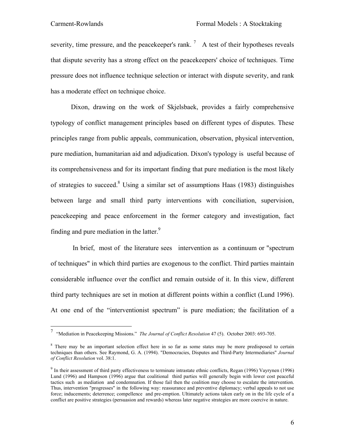severity, time pressure, and the peacekeeper's rank.  $\frac{7}{1}$  A test of their hypotheses reveals that dispute severity has a strong effect on the peacekeepers' choice of techniques. Time pressure does not influence technique selection or interact with dispute severity, and rank has a moderate effect on technique choice.

 Dixon, drawing on the work of Skjelsbaek, provides a fairly comprehensive typology of conflict management principles based on different types of disputes. These principles range from public appeals, communication, observation, physical intervention, pure mediation, humanitarian aid and adjudication. Dixon's typology is useful because of its comprehensiveness and for its important finding that pure mediation is the most likely of strategies to succeed.<sup>8</sup> Using a similar set of assumptions Haas (1983) distinguishes between large and small third party interventions with conciliation, supervision, peacekeeping and peace enforcement in the former category and investigation, fact finding and pure mediation in the latter. $9$ 

 In brief, most of the literature sees intervention as a continuum or "spectrum of techniques" in which third parties are exogenous to the conflict. Third parties maintain considerable influence over the conflict and remain outside of it. In this view, different third party techniques are set in motion at different points within a conflict (Lund 1996). At one end of the "interventionist spectrum" is pure mediation; the facilitation of a

 7 "Mediation in Peacekeeping Missions." *The Journal of Conflict Resolution* 47 (5). October 2003: 693-705.

<sup>&</sup>lt;sup>8</sup> There may be an important selection effect here in so far as some states may be more predisposed to certain techniques than others. See Raymond, G. A. (1994). "Democracies, Disputes and Third-Party Intermediaries" *Journal of Conflict Resolution* vol. 38:1.

<sup>&</sup>lt;sup>9</sup> In their assessment of third party effectiveness to terminate intrastate ethnic conflicts, Regan (1996) Vayrynen (1996) Lund (1996) and Hampson (1996) argue that coalitional third parties will generally begin with lower cost peaceful tactics such as mediation and condemnation. If those fail then the coalition may choose to escalate the intervention. Thus, intervention "progresses" in the following way: reassurance and preventive diplomacy; verbal appeals to not use force; inducements; deterrence; compellence and pre-emption. Ultimately actions taken early on in the life cycle of a conflict are positive strategies (persuasion and rewards) whereas later negative strategies are more coercive in nature.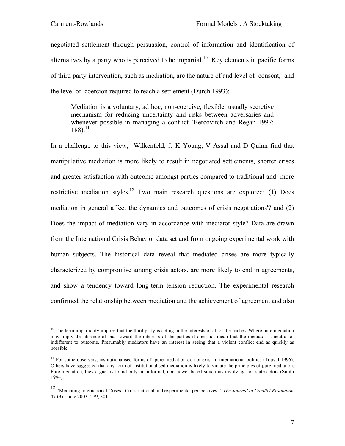negotiated settlement through persuasion, control of information and identification of alternatives by a party who is perceived to be impartial.<sup>10</sup> Key elements in pacific forms of third party intervention, such as mediation, are the nature of and level of consent, and the level of coercion required to reach a settlement (Durch 1993):

Mediation is a voluntary, ad hoc, non-coercive, flexible, usually secretive mechanism for reducing uncertainty and risks between adversaries and whenever possible in managing a conflict (Bercovitch and Regan 1997:  $188$ ).<sup>11</sup>

In a challenge to this view, Wilkenfeld, J, K Young, V Assal and D Quinn find that manipulative mediation is more likely to result in negotiated settlements, shorter crises and greater satisfaction with outcome amongst parties compared to traditional and more restrictive mediation styles.<sup>12</sup> Two main research questions are explored: (1) Does mediation in general affect the dynamics and outcomes of crisis negotiations'? and (2) Does the impact of mediation vary in accordance with mediator style? Data are drawn from the International Crisis Behavior data set and from ongoing experimental work with human subjects. The historical data reveal that mediated crises are more typically characterized by compromise among crisis actors, are more likely to end in agreements, and show a tendency toward long-term tension reduction. The experimental research confirmed the relationship between mediation and the achievement of agreement and also

 $10$  The term impartiality implies that the third party is acting in the interests of all of the parties. Where pure mediation may imply the absence of bias toward the interests of the parties it does not mean that the mediator is neutral or indifferent to outcome. Presumably mediators have an interest in seeing that a violent conflict end as quickly as possible.

 $11$  For some observers, institutionalised forms of pure mediation do not exist in international politics (Touval 1996). Others have suggested that any form of institutionalised mediation is likely to violate the principles of pure mediation. Pure mediation, they argue is found only in informal, non-power based situations involving non-state actors (Smith 1994).

<sup>12</sup> "Mediating International Crises –Cross-national and experimental perspectives." *The Journal of Conflict Resolution*  47 (3). June 2003: 279, 301.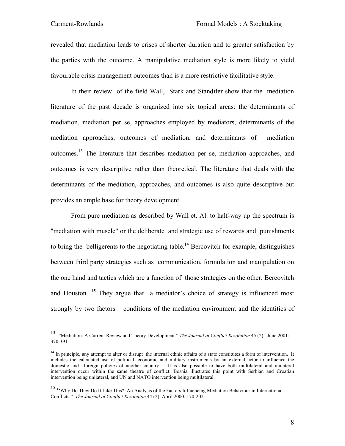<u>.</u>

revealed that mediation leads to crises of shorter duration and to greater satisfaction by the parties with the outcome. A manipulative mediation style is more likely to yield favourable crisis management outcomes than is a more restrictive facilitative style.

In their review of the field Wall, Stark and Standifer show that the mediation literature of the past decade is organized into six topical areas: the determinants of mediation, mediation per se, approaches employed by mediators, determinants of the mediation approaches, outcomes of mediation, and determinants of mediation outcomes.<sup>13</sup> The literature that describes mediation per se, mediation approaches, and outcomes is very descriptive rather than theoretical. The literature that deals with the determinants of the mediation, approaches, and outcomes is also quite descriptive but provides an ample base for theory development.

From pure mediation as described by Wall et. Al. to half-way up the spectrum is "mediation with muscle" or the deliberate and strategic use of rewards and punishments to bring the belligerents to the negotiating table.<sup>14</sup> Bercovitch for example, distinguishes between third party strategies such as communication, formulation and manipulation on the one hand and tactics which are a function of those strategies on the other. Bercovitch and Houston. **<sup>15</sup>** They argue thata mediator's choice of strategy is influenced most strongly by two factors – conditions of the mediation environment and the identities of

<sup>13 &</sup>quot;Mediation: A Current Review and Theory Development." *The Journal of Conflict Resolution* 45 (2). June 2001: 370-391.

 $<sup>14</sup>$  In principle, any attempt to alter or disrupt the internal ethnic affairs of a state constitutes a form of intervention. It</sup> includes the calculated use of political, economic and military instruments by an external actor to influence the domestic and foreign policies of another country. It is also possible to have both multilateral and unilateral intervention occur within the same theatre of conflict. Bosnia illustrates this point with Serbian and Croatian intervention being unilateral, and UN and NATO intervention being multilateral.

<sup>&</sup>lt;sup>15</sup> **"**Why Do They Do It Like This? An Analysis of the Factors Influencing Mediation Behaviour in International Conflicts." *The Journal of Conflict Resolution* 44 (2). April 2000: 170-202.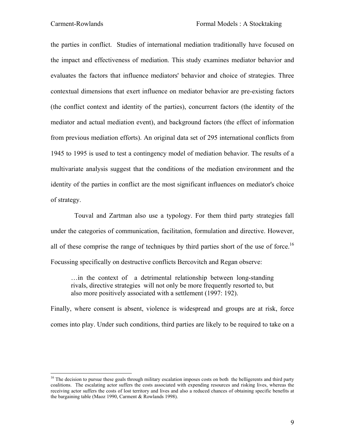the parties in conflict. Studies of international mediation traditionally have focused on the impact and effectiveness of mediation. This study examines mediator behavior and evaluates the factors that influence mediators' behavior and choice of strategies. Three contextual dimensions that exert influence on mediator behavior are pre-existing factors (the conflict context and identity of the parties), concurrent factors (the identity of the mediator and actual mediation event), and background factors (the effect of information from previous mediation efforts). An original data set of 295 international conflicts from 1945 to 1995 is used to test a contingency model of mediation behavior. The results of a multivariate analysis suggest that the conditions of the mediation environment and the identity of the parties in conflict are the most significant influences on mediator's choice of strategy.

 Touval and Zartman also use a typology. For them third party strategies fall under the categories of communication, facilitation, formulation and directive. However, all of these comprise the range of techniques by third parties short of the use of force.<sup>16</sup> Focussing specifically on destructive conflicts Bercovitch and Regan observe:

…in the context of a detrimental relationship between long-standing rivals, directive strategies will not only be more frequently resorted to, but also more positively associated with a settlement (1997: 192).

Finally, where consent is absent, violence is widespread and groups are at risk, force comes into play. Under such conditions, third parties are likely to be required to take on a

 $16$  The decision to pursue these goals through military escalation imposes costs on both the belligerents and third party coalitions. The escalating actor suffers the costs associated with expending resources and risking lives, whereas the receiving actor suffers the costs of lost territory and lives and also a reduced chances of obtaining specific benefits at the bargaining table (Maoz 1990, Carment & Rowlands 1998).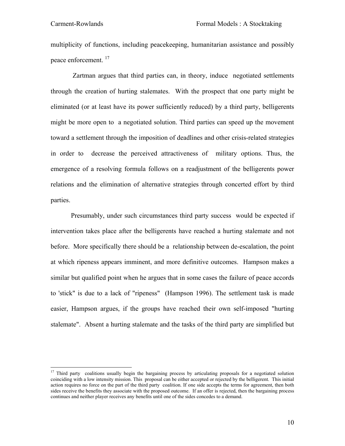multiplicity of functions, including peacekeeping, humanitarian assistance and possibly peace enforcement. 17

 Zartman argues that third parties can, in theory, induce negotiated settlements through the creation of hurting stalemates. With the prospect that one party might be eliminated (or at least have its power sufficiently reduced) by a third party, belligerents might be more open to a negotiated solution. Third parties can speed up the movement toward a settlement through the imposition of deadlines and other crisis-related strategies in order to decrease the perceived attractiveness of military options. Thus, the emergence of a resolving formula follows on a readjustment of the belligerents power relations and the elimination of alternative strategies through concerted effort by third parties.

Presumably, under such circumstances third party success would be expected if intervention takes place after the belligerents have reached a hurting stalemate and not before. More specifically there should be a relationship between de-escalation, the point at which ripeness appears imminent, and more definitive outcomes. Hampson makes a similar but qualified point when he argues that in some cases the failure of peace accords to 'stick" is due to a lack of "ripeness" (Hampson 1996). The settlement task is made easier, Hampson argues, if the groups have reached their own self-imposed "hurting stalemate". Absent a hurting stalemate and the tasks of the third party are simplified but

 $17$  Third party coalitions usually begin the bargaining process by articulating proposals for a negotiated solution coinciding with a low intensity mission. This proposal can be either accepted or rejected by the belligerent. This initial action requires no force on the part of the third party coalition. If one side accepts the terms for agreement, then both sides receive the benefits they associate with the proposed outcome. If an offer is rejected, then the bargaining process continues and neither player receives any benefits until one of the sides concedes to a demand.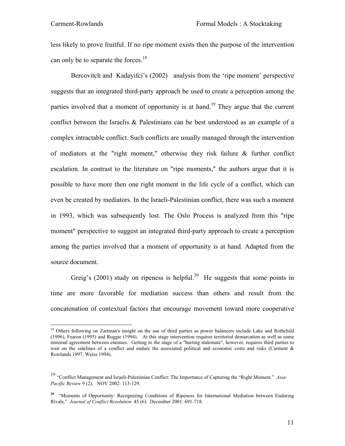less likely to prove fruitful. If no ripe moment exists then the purpose of the intervention can only be to separate the forces.<sup>18</sup>

Bercovitch and Kadayifci's (2002)analysis from the 'ripe moment' perspective suggests that an integrated third-party approach be used to create a perception among the parties involved that a moment of opportunity is at hand.<sup>19</sup> They argue that the current conflict between the Israelis & Palestinians can be best understood as an example of a complex intractable conflict. Such conflicts are usually managed through the intervention of mediators at the "right moment," otherwise they risk failure & further conflict escalation. In contrast to the literature on "ripe moments," the authors argue that it is possible to have more then one right moment in the life cycle of a conflict, which can even be created by mediators. In the Israeli-Palestinian conflict, there was such a moment in 1993, which was subsequently lost. The Oslo Process is analyzed from this "ripe moment" perspective to suggest an integrated third-party approach to create a perception among the parties involved that a moment of opportunity is at hand. Adapted from the source document.

Greig's (2001) study on ripeness is helpful.<sup>20</sup> He suggests that some points in time are more favorable for mediation success than others and result from the concatenation of contextual factors that encourage movement toward more cooperative

<sup>&</sup>lt;sup>18</sup> Others following on Zartman's insight on the use of third parties as power balancers include Lake and Rothchild (1996), Fearon (1995) and Ruggie (1994). At this stage intervention requires territorial demarcation as well as some minimal agreement between enemies. Getting to the stage of a "hurting stalemate", however, requires third parties to wait on the sidelines of a conflict and endure the associated political and economic costs and risks (Carment & Rowlands 1997, Weiss 1994).

<sup>19</sup> "Conflict Management and Israeli-Palestinian Conflict: The Importance of Capturing the "Right Moment." *Asia-Pacific Review* 9 (2). NOV 2002: 113-129.

<sup>&</sup>lt;sup>20</sup> "Moments of Opportunity: Recognizing Conditions of Ripeness for International Mediation between Enduring Rivals." *Journal of Conflict Resolution* 45 (6). December 2001: 691-718.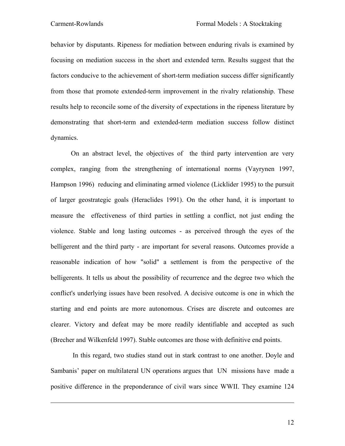behavior by disputants. Ripeness for mediation between enduring rivals is examined by focusing on mediation success in the short and extended term. Results suggest that the factors conducive to the achievement of short-term mediation success differ significantly from those that promote extended-term improvement in the rivalry relationship. These results help to reconcile some of the diversity of expectations in the ripeness literature by demonstrating that short-term and extended-term mediation success follow distinct dynamics.

On an abstract level, the objectives of the third party intervention are very complex, ranging from the strengthening of international norms (Vayrynen 1997, Hampson 1996) reducing and eliminating armed violence (Licklider 1995) to the pursuit of larger geostrategic goals (Heraclides 1991). On the other hand, it is important to measure the effectiveness of third parties in settling a conflict, not just ending the violence. Stable and long lasting outcomes - as perceived through the eyes of the belligerent and the third party - are important for several reasons. Outcomes provide a reasonable indication of how "solid" a settlement is from the perspective of the belligerents. It tells us about the possibility of recurrence and the degree two which the conflict's underlying issues have been resolved. A decisive outcome is one in which the starting and end points are more autonomous. Crises are discrete and outcomes are clearer. Victory and defeat may be more readily identifiable and accepted as such (Brecher and Wilkenfeld 1997). Stable outcomes are those with definitive end points.

 In this regard, two studies stand out in stark contrast to one another. Doyle and Sambanis' paper on multilateral UN operations argues that UN missions have made a positive difference in the preponderance of civil wars since WWII. They examine 124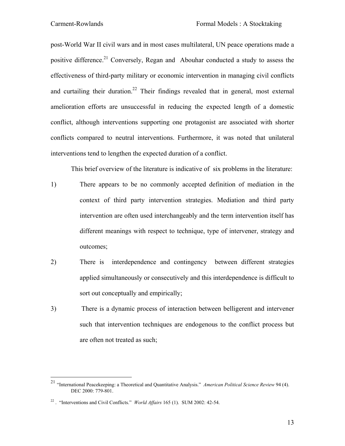post-World War II civil wars and in most cases multilateral, UN peace operations made a positive difference.<sup>21</sup> Conversely, Regan and Abouhar conducted a study to assess the effectiveness of third-party military or economic intervention in managing civil conflicts and curtailing their duration.<sup>22</sup> Their findings revealed that in general, most external amelioration efforts are unsuccessful in reducing the expected length of a domestic conflict, although interventions supporting one protagonist are associated with shorter conflicts compared to neutral interventions. Furthermore, it was noted that unilateral interventions tend to lengthen the expected duration of a conflict.

This brief overview of the literature is indicative of six problems in the literature:

- 1) There appears to be no commonly accepted definition of mediation in the context of third party intervention strategies. Mediation and third party intervention are often used interchangeably and the term intervention itself has different meanings with respect to technique, type of intervener, strategy and outcomes;
- 2) There is interdependence and contingency between different strategies applied simultaneously or consecutively and this interdependence is difficult to sort out conceptually and empirically;
- 3) There is a dynamic process of interaction between belligerent and intervener such that intervention techniques are endogenous to the conflict process but are often not treated as such;

 $\overline{a}$ 

<sup>21</sup> "International Peacekeeping: a Theoretical and Quantitative Analysis." *American Political Science Review* 94 (4). DEC 2000: 779-801.

<sup>22 . &</sup>quot;Interventions and Civil Conflicts." *World Affairs* 165 (1). SUM 2002: 42-54.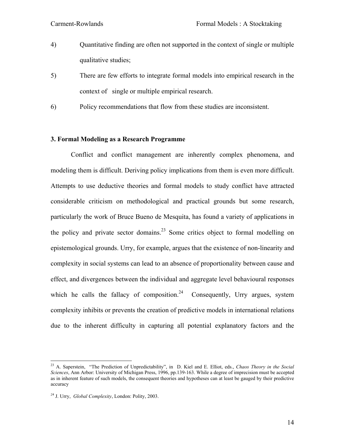- 4) Quantitative finding are often not supported in the context of single or multiple qualitative studies;
- 5) There are few efforts to integrate formal models into empirical research in the context of single or multiple empirical research.
- 6) Policy recommendations that flow from these studies are inconsistent.

## **3. Formal Modeling as a Research Programme**

Conflict and conflict management are inherently complex phenomena, and modeling them is difficult. Deriving policy implications from them is even more difficult. Attempts to use deductive theories and formal models to study conflict have attracted considerable criticism on methodological and practical grounds but some research, particularly the work of Bruce Bueno de Mesquita, has found a variety of applications in the policy and private sector domains.<sup>23</sup> Some critics object to formal modelling on epistemological grounds. Urry, for example, argues that the existence of non-linearity and complexity in social systems can lead to an absence of proportionality between cause and effect, and divergences between the individual and aggregate level behavioural responses which he calls the fallacy of composition.<sup>24</sup> Consequently, Urry argues, system complexity inhibits or prevents the creation of predictive models in international relations due to the inherent difficulty in capturing all potential explanatory factors and the

 $\overline{a}$ 

<sup>23</sup> A. Saperstein, "The Prediction of Unpredictability", in D. Kiel and E. Elliot, eds., *Chaos Theory in the Social Sciences*, Ann Arbor: University of Michigan Press, 1996, pp.139-163. While a degree of imprecision must be accepted as in inherent feature of such models, the consequent theories and hypotheses can at least be gauged by their predictive accuracy

<sup>24</sup> J. Urry, *Global Complexity*, London: Polity, 2003.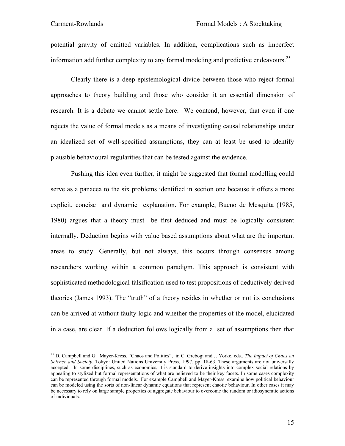potential gravity of omitted variables. In addition, complications such as imperfect information add further complexity to any formal modeling and predictive endeavours.25

 Clearly there is a deep epistemological divide between those who reject formal approaches to theory building and those who consider it an essential dimension of research. It is a debate we cannot settle here. We contend, however, that even if one rejects the value of formal models as a means of investigating causal relationships under an idealized set of well-specified assumptions, they can at least be used to identify plausible behavioural regularities that can be tested against the evidence.

 Pushing this idea even further, it might be suggested that formal modelling could serve as a panacea to the six problems identified in section one because it offers a more explicit, concise and dynamic explanation. For example, Bueno de Mesquita (1985, 1980) argues that a theory must be first deduced and must be logically consistent internally. Deduction begins with value based assumptions about what are the important areas to study. Generally, but not always, this occurs through consensus among researchers working within a common paradigm. This approach is consistent with sophisticated methodological falsification used to test propositions of deductively derived theories (James 1993). The "truth" of a theory resides in whether or not its conclusions can be arrived at without faulty logic and whether the properties of the model, elucidated in a case, are clear. If a deduction follows logically from a set of assumptions then that

<sup>25</sup> D, Campbell and G. Mayer-Kress, "Chaos and Politics", in C. Grebogi and J. Yorke, eds., *The Impact of Chaos on Science and Society*, Tokyo: United Nations University Press, 1997, pp. 18-63. These arguments are not universally accepted. In some disciplines, such as economics, it is standard to derive insights into complex social relations by appealing to stylized but formal representations of what are believed to be their key facets. In some cases complexity can be represented through formal models. For example Campbell and Mayer-Kress examine how political behaviour can be modeled using the sorts of non-linear dynamic equations that represent chaotic behaviour. In other cases it may be necessary to rely on large sample properties of aggregate behaviour to overcome the random or idiosyncratic actions of individuals.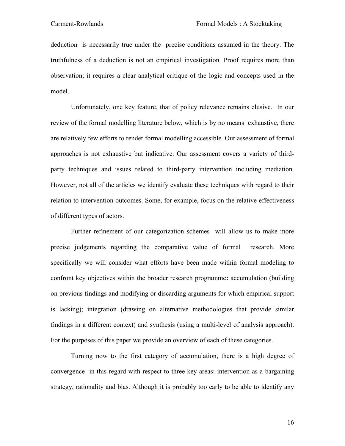deduction is necessarily true under the precise conditions assumed in the theory. The truthfulness of a deduction is not an empirical investigation. Proof requires more than observation; it requires a clear analytical critique of the logic and concepts used in the model.

 Unfortunately, one key feature, that of policy relevance remains elusive. In our review of the formal modelling literature below, which is by no means exhaustive, there are relatively few efforts to render formal modelling accessible. Our assessment of formal approaches is not exhaustive but indicative. Our assessment covers a variety of thirdparty techniques and issues related to third-party intervention including mediation. However, not all of the articles we identify evaluate these techniques with regard to their relation to intervention outcomes. Some, for example, focus on the relative effectiveness of different types of actors.

 Further refinement of our categorization schemes will allow us to make more precise judgements regarding the comparative value of formal research. More specifically we will consider what efforts have been made within formal modeling to confront key objectives within the broader research programme**:** accumulation (building on previous findings and modifying or discarding arguments for which empirical support is lacking); integration (drawing on alternative methodologies that provide similar findings in a different context) and synthesis (using a multi-level of analysis approach). For the purposes of this paper we provide an overview of each of these categories.

 Turning now to the first category of accumulation, there is a high degree of convergence in this regard with respect to three key areas: intervention as a bargaining strategy, rationality and bias. Although it is probably too early to be able to identify any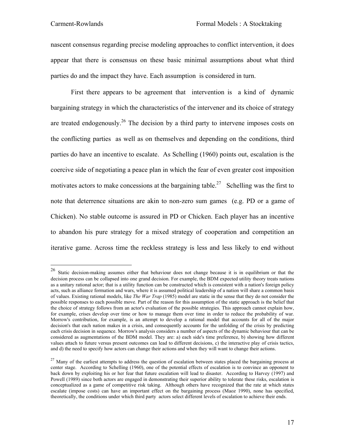nascent consensus regarding precise modeling approaches to conflict intervention, it does appear that there is consensus on these basic minimal assumptions about what third parties do and the impact they have. Each assumption is considered in turn.

First there appears to be agreement that intervention is a kind of dynamic bargaining strategy in which the characteristics of the intervener and its choice of strategy are treated endogenously.<sup>26</sup> The decision by a third party to intervene imposes costs on the conflicting parties as well as on themselves and depending on the conditions, third parties do have an incentive to escalate. As Schelling (1960) points out, escalation is the coercive side of negotiating a peace plan in which the fear of even greater cost imposition motivates actors to make concessions at the bargaining table.<sup>27</sup> Schelling was the first to note that deterrence situations are akin to non-zero sum games (e.g. PD or a game of Chicken). No stable outcome is assured in PD or Chicken. Each player has an incentive to abandon his pure strategy for a mixed strategy of cooperation and competition an iterative game. Across time the reckless strategy is less and less likely to end without

 $26$  Static decision-making assumes either that behaviour does not change because it is in equilibrium or that the decision process can be collapsed into one grand decision. For example, the BDM expected utility theory treats nations as a unitary rational actor; that is a utility function can be constructed which is consistent with a nation's foreign policy acts, such as alliance formation and wars, where it is assumed political leadership of a nation will share a common basis of values. Existing rational models, like *The War Trap* (1985) model are static in the sense that they do not consider the possible responses to each possible move. Part of the reason for this assumption of the static approach is the belief that the choice of strategy follows from an actor's evaluation of the possible strategies. This approach cannot explain how, for example, crises develop over time or how to manage them over time in order to reduce the probability of war. Morrow's contribution, for example, is an attempt to develop a rational model that accounts for all of the major decision's that each nation makes in a crisis, and consequently accounts for the unfolding of the crisis by predicting each crisis decision in sequence. Morrow's analysis considers a number of aspects of the dynamic behaviour that can be considered as augmentations of the BDM model. They are: a) each side's time preference, b) showing how different values attach to future versus present outcomes can lead to different decisions, c) the interactive play of crisis tactics, and d) the need to specify how actors can change their actions and when they will want to change their actions.

 $27$  Many of the earliest attempts to address the question of escalation between states placed the bargaining process at center stage. According to Schelling (1960), one of the potential effects of escalation is to convince an opponent to back down by exploiting his or her fear that future escalation will lead to disaster. According to Harvey (1997) and Powell (1989) since both actors are engaged in demonstrating their superior ability to tolerate these risks, escalation is conceptualized as a game of competitive risk taking. Although others have recognized that the rate at which states escalate (impose costs) can have an important effect on the bargaining process (Maoz 1990), none has specified, theoretically, the conditions under which third party actors select different levels of escalation to achieve their ends.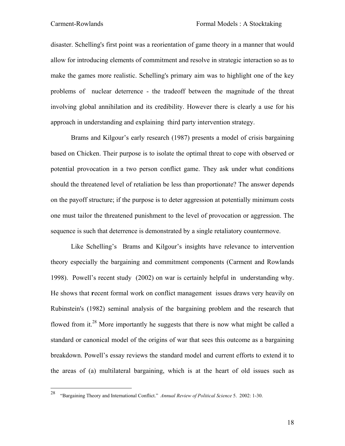disaster. Schelling's first point was a reorientation of game theory in a manner that would allow for introducing elements of commitment and resolve in strategic interaction so as to make the games more realistic. Schelling's primary aim was to highlight one of the key problems of nuclear deterrence - the tradeoff between the magnitude of the threat involving global annihilation and its credibility. However there is clearly a use for his approach in understanding and explaining third party intervention strategy.

Brams and Kilgour's early research (1987) presents a model of crisis bargaining based on Chicken. Their purpose is to isolate the optimal threat to cope with observed or potential provocation in a two person conflict game. They ask under what conditions should the threatened level of retaliation be less than proportionate? The answer depends on the payoff structure; if the purpose is to deter aggression at potentially minimum costs one must tailor the threatened punishment to the level of provocation or aggression. The sequence is such that deterrence is demonstrated by a single retaliatory countermove.

Like Schelling's Brams and Kilgour's insights have relevance to intervention theory especially the bargaining and commitment components (Carment and Rowlands 1998). Powell's recent study (2002) on war is certainly helpful in understanding why. He shows that **r**ecent formal work on conflict management issues draws very heavily on Rubinstein's (1982) seminal analysis of the bargaining problem and the research that flowed from it.28 More importantly he suggests that there is now what might be called a standard or canonical model of the origins of war that sees this outcome as a bargaining breakdown. Powell's essay reviews the standard model and current efforts to extend it to the areas of (a) multilateral bargaining, which is at the heart of old issues such as

<sup>28</sup>"Bargaining Theory and International Conflict." *Annual Review of Political Science* 5. 2002: 1-30.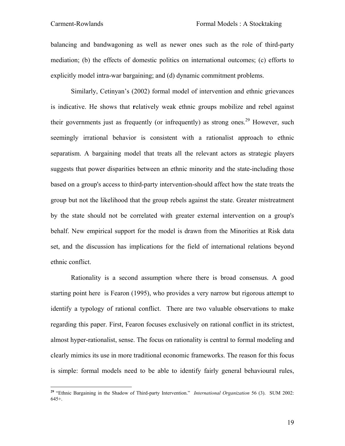balancing and bandwagoning as well as newer ones such as the role of third-party mediation; (b) the effects of domestic politics on international outcomes; (c) efforts to explicitly model intra-war bargaining; and (d) dynamic commitment problems.

Similarly, Cetinyan's (2002) formal model of intervention and ethnic grievances is indicative. He shows that **r**elatively weak ethnic groups mobilize and rebel against their governments just as frequently (or infrequently) as strong ones.<sup>29</sup> However, such seemingly irrational behavior is consistent with a rationalist approach to ethnic separatism. A bargaining model that treats all the relevant actors as strategic players suggests that power disparities between an ethnic minority and the state-including those based on a group's access to third-party intervention-should affect how the state treats the group but not the likelihood that the group rebels against the state. Greater mistreatment by the state should not be correlated with greater external intervention on a group's behalf. New empirical support for the model is drawn from the Minorities at Risk data set, and the discussion has implications for the field of international relations beyond ethnic conflict.

Rationality is a second assumption where there is broad consensus. A good starting point here is Fearon (1995), who provides a very narrow but rigorous attempt to identify a typology of rational conflict. There are two valuable observations to make regarding this paper. First, Fearon focuses exclusively on rational conflict in its strictest, almost hyper-rationalist, sense. The focus on rationality is central to formal modeling and clearly mimics its use in more traditional economic frameworks. The reason for this focus is simple: formal models need to be able to identify fairly general behavioural rules,

**<sup>29</sup>** "Ethnic Bargaining in the Shadow of Third-party Intervention." *International Organization* 56 (3). SUM 2002: 645+.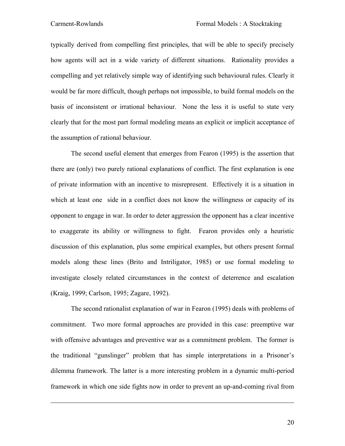typically derived from compelling first principles, that will be able to specify precisely how agents will act in a wide variety of different situations. Rationality provides a compelling and yet relatively simple way of identifying such behavioural rules. Clearly it would be far more difficult, though perhaps not impossible, to build formal models on the basis of inconsistent or irrational behaviour. None the less it is useful to state very clearly that for the most part formal modeling means an explicit or implicit acceptance of the assumption of rational behaviour.

 The second useful element that emerges from Fearon (1995) is the assertion that there are (only) two purely rational explanations of conflict. The first explanation is one of private information with an incentive to misrepresent. Effectively it is a situation in which at least one side in a conflict does not know the willingness or capacity of its opponent to engage in war. In order to deter aggression the opponent has a clear incentive to exaggerate its ability or willingness to fight. Fearon provides only a heuristic discussion of this explanation, plus some empirical examples, but others present formal models along these lines (Brito and Intriligator, 1985) or use formal modeling to investigate closely related circumstances in the context of deterrence and escalation (Kraig, 1999; Carlson, 1995; Zagare, 1992).

 The second rationalist explanation of war in Fearon (1995) deals with problems of commitment. Two more formal approaches are provided in this case: preemptive war with offensive advantages and preventive war as a commitment problem. The former is the traditional "gunslinger" problem that has simple interpretations in a Prisoner's dilemma framework. The latter is a more interesting problem in a dynamic multi-period framework in which one side fights now in order to prevent an up-and-coming rival from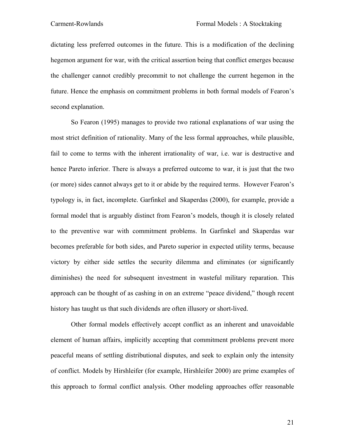dictating less preferred outcomes in the future. This is a modification of the declining hegemon argument for war, with the critical assertion being that conflict emerges because the challenger cannot credibly precommit to not challenge the current hegemon in the future. Hence the emphasis on commitment problems in both formal models of Fearon's second explanation.

 So Fearon (1995) manages to provide two rational explanations of war using the most strict definition of rationality. Many of the less formal approaches, while plausible, fail to come to terms with the inherent irrationality of war, i.e. war is destructive and hence Pareto inferior. There is always a preferred outcome to war, it is just that the two (or more) sides cannot always get to it or abide by the required terms. However Fearon's typology is, in fact, incomplete. Garfinkel and Skaperdas (2000), for example, provide a formal model that is arguably distinct from Fearon's models, though it is closely related to the preventive war with commitment problems. In Garfinkel and Skaperdas war becomes preferable for both sides, and Pareto superior in expected utility terms, because victory by either side settles the security dilemma and eliminates (or significantly diminishes) the need for subsequent investment in wasteful military reparation. This approach can be thought of as cashing in on an extreme "peace dividend," though recent history has taught us that such dividends are often illusory or short-lived.

Other formal models effectively accept conflict as an inherent and unavoidable element of human affairs, implicitly accepting that commitment problems prevent more peaceful means of settling distributional disputes, and seek to explain only the intensity of conflict. Models by Hirshleifer (for example, Hirshleifer 2000) are prime examples of this approach to formal conflict analysis. Other modeling approaches offer reasonable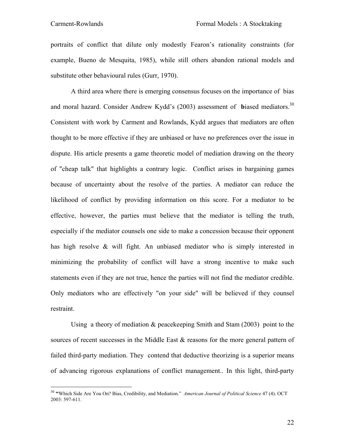portraits of conflict that dilute only modestly Fearon's rationality constraints (for example, Bueno de Mesquita, 1985), while still others abandon rational models and substitute other behavioural rules (Gurr, 1970).

A third area where there is emerging consensus focuses on the importance of bias and moral hazard. Consider Andrew Kydd's (2003) assessment of **b**iased mediators.<sup>30</sup> Consistent with work by Carment and Rowlands, Kydd argues that mediators are often thought to be more effective if they are unbiased or have no preferences over the issue in dispute. His article presents a game theoretic model of mediation drawing on the theory of "cheap talk" that highlights a contrary logic. Conflict arises in bargaining games because of uncertainty about the resolve of the parties. A mediator can reduce the likelihood of conflict by providing information on this score. For a mediator to be effective, however, the parties must believe that the mediator is telling the truth, especially if the mediator counsels one side to make a concession because their opponent has high resolve & will fight. An unbiased mediator who is simply interested in minimizing the probability of conflict will have a strong incentive to make such statements even if they are not true, hence the parties will not find the mediator credible. Only mediators who are effectively "on your side" will be believed if they counsel restraint.

Using a theory of mediation & peacekeeping Smith and Stam (2003) point to the sources of recent successes in the Middle East & reasons for the more general pattern of failed third-party mediation. They contend that deductive theorizing is a superior means of advancing rigorous explanations of conflict management.. In this light, third-party

<sup>30</sup> **"**Which Side Are You On? Bias, Credibility, and Mediation." *American Journal of Political Science* 47 (4). OCT 2003: 597-611.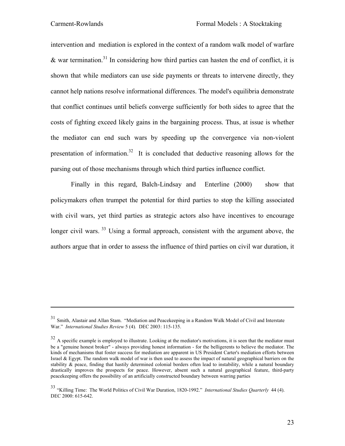intervention and mediation is explored in the context of a random walk model of warfare & war termination.<sup>31</sup> In considering how third parties can hasten the end of conflict, it is shown that while mediators can use side payments or threats to intervene directly, they cannot help nations resolve informational differences. The model's equilibria demonstrate that conflict continues until beliefs converge sufficiently for both sides to agree that the costs of fighting exceed likely gains in the bargaining process. Thus, at issue is whether the mediator can end such wars by speeding up the convergence via non-violent presentation of information.<sup>32</sup> It is concluded that deductive reasoning allows for the parsing out of those mechanisms through which third parties influence conflict.

Finally in this regard, Balch-Lindsay and Enterline (2000) show that policymakers often trumpet the potential for third parties to stop the killing associated with civil wars, yet third parties as strategic actors also have incentives to encourage longer civil wars.<sup>33</sup> Using a formal approach, consistent with the argument above, the authors argue that in order to assess the influence of third parties on civil war duration, it

<sup>&</sup>lt;sup>31</sup> Smith, Alastair and Allan Stam. "Mediation and Peacekeeping in a Random Walk Model of Civil and Interstate War." *International Studies Review* 5 (4)*.* DEC 2003: 115-135.

 $32$  A specific example is employed to illustrate. Looking at the mediator's motivations, it is seen that the mediator must be a "genuine honest broker" - always providing honest information - for the belligerents to believe the mediator. The kinds of mechanisms that foster success for mediation are apparent in US President Carter's mediation efforts between Israel  $&$  Egypt. The random walk model of war is then used to assess the impact of natural geographical barriers on the stability & peace, finding that hastily determined colonial borders often lead to instability, while a natural boundary drastically improves the prospects for peace. However, absent such a natural geographical feature, third-party peacekeeping offers the possibility of an artificially constructed boundary between warring parties

<sup>33</sup> "Killing Time: The World Politics of Civil War Duration, 1820-1992." *International Studies Quarterly* 44 (4). DEC 2000: 615-642.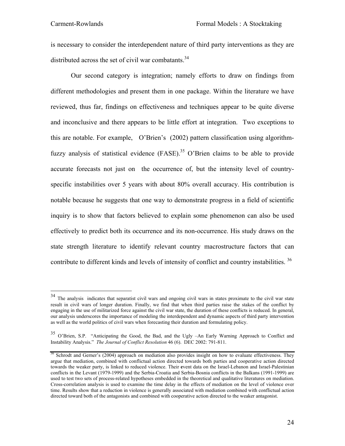is necessary to consider the interdependent nature of third party interventions as they are distributed across the set of civil war combatants.<sup>34</sup>

Our second category is integration; namely efforts to draw on findings from different methodologies and present them in one package. Within the literature we have reviewed, thus far, findings on effectiveness and techniques appear to be quite diverse and inconclusive and there appears to be little effort at integration. Two exceptions to this are notable. For example, O'Brien's (2002) pattern classification using algorithmfuzzy analysis of statistical evidence  $(FASE)$ <sup>35</sup> O'Brien claims to be able to provide accurate forecasts not just on the occurrence of, but the intensity level of countryspecific instabilities over 5 years with about 80% overall accuracy. His contribution is notable because he suggests that one way to demonstrate progress in a field of scientific inquiry is to show that factors believed to explain some phenomenon can also be used effectively to predict both its occurrence and its non-occurrence. His study draws on the state strength literature to identify relevant country macrostructure factors that can contribute to different kinds and levels of intensity of conflict and country instabilities.<sup>36</sup>

 $34$  The analysis indicates that separatist civil wars and ongoing civil wars in states proximate to the civil war state result in civil wars of longer duration. Finally, we find that when third parties raise the stakes of the conflict by engaging in the use of militarized force against the civil war state, the duration of these conflicts is reduced. In general, our analysis underscores the importance of modeling the interdependent and dynamic aspects of third party intervention as well as the world politics of civil wars when forecasting their duration and formulating policy.

<sup>35</sup> O'Brien, S.P. "Anticipating the Good, the Bad, and the Ugly –An Early Warning Approach to Conflict and Instability Analysis." *The Journal of Conflict Resolution* 46 (6). DEC 2002: 791-811.

<sup>&</sup>lt;sup>36</sup> Schrodt and Gerner's (2004) approach on mediation also provides insight on how to evaluate effectiveness. They argue that mediation, combined with conflictual action directed towards both parties and cooperative action directed towards the weaker party, is linked to reduced violence. Their **e**vent data on the Israel-Lebanon and Israel-Palestinian conflicts in the Levant (1979-1999) and the Serbia-Croatia and Serbia-Bosnia conflicts in the Balkans (1991-1999) are used to test two sets of process-related hypotheses embedded in the theoretical and qualitative literatures on mediation. Cross-correlation analysis is used to examine the time delay in the effects of mediation on the level of violence over time. Results show that a reduction in violence is generally associated with mediation combined with conflictual action directed toward both of the antagonists and combined with cooperative action directed to the weaker antagonist.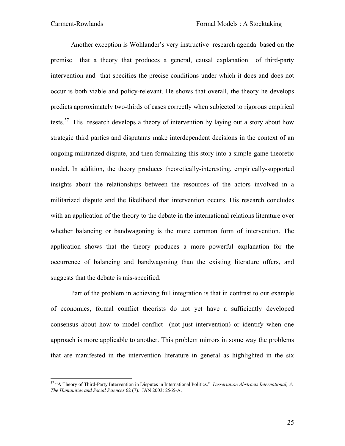Another exception is Wohlander's very instructive research agenda based on the premise that a theory that produces a general, causal explanation of third-party intervention and that specifies the precise conditions under which it does and does not occur is both viable and policy-relevant. He shows that overall, the theory he develops predicts approximately two-thirds of cases correctly when subjected to rigorous empirical tests.<sup>37</sup> His research develops a theory of intervention by laying out a story about how strategic third parties and disputants make interdependent decisions in the context of an ongoing militarized dispute, and then formalizing this story into a simple-game theoretic model. In addition, the theory produces theoretically-interesting, empirically-supported insights about the relationships between the resources of the actors involved in a militarized dispute and the likelihood that intervention occurs. His research concludes with an application of the theory to the debate in the international relations literature over whether balancing or bandwagoning is the more common form of intervention. The application shows that the theory produces a more powerful explanation for the occurrence of balancing and bandwagoning than the existing literature offers, and suggests that the debate is mis-specified.

Part of the problem in achieving full integration is that in contrast to our example of economics, formal conflict theorists do not yet have a sufficiently developed consensus about how to model conflict (not just intervention) or identify when one approach is more applicable to another. This problem mirrors in some way the problems that are manifested in the intervention literature in general as highlighted in the six

<sup>37 &</sup>quot;A Theory of Third-Party Intervention in Disputes in International Politics." *Dissertation Abstracts International, A: The Humanities and Social Sciences* 62 (7). JAN 2003: 2565-A.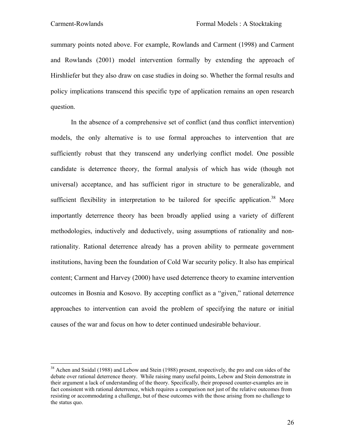summary points noted above. For example, Rowlands and Carment (1998) and Carment and Rowlands (2001) model intervention formally by extending the approach of Hirshliefer but they also draw on case studies in doing so. Whether the formal results and policy implications transcend this specific type of application remains an open research question.

In the absence of a comprehensive set of conflict (and thus conflict intervention) models, the only alternative is to use formal approaches to intervention that are sufficiently robust that they transcend any underlying conflict model. One possible candidate is deterrence theory, the formal analysis of which has wide (though not universal) acceptance, and has sufficient rigor in structure to be generalizable, and sufficient flexibility in interpretation to be tailored for specific application.<sup>38</sup> More importantly deterrence theory has been broadly applied using a variety of different methodologies, inductively and deductively, using assumptions of rationality and nonrationality. Rational deterrence already has a proven ability to permeate government institutions, having been the foundation of Cold War security policy. It also has empirical content; Carment and Harvey (2000) have used deterrence theory to examine intervention outcomes in Bosnia and Kosovo. By accepting conflict as a "given," rational deterrence approaches to intervention can avoid the problem of specifying the nature or initial causes of the war and focus on how to deter continued undesirable behaviour.

<sup>&</sup>lt;sup>38</sup> Achen and Snidal (1988) and Lebow and Stein (1988) present, respectively, the pro and con sides of the debate over rational deterrence theory. While raising many useful points, Lebow and Stein demonstrate in their argument a lack of understanding of the theory. Specifically, their proposed counter-examples are in fact consistent with rational deterrence, which requires a comparison not just of the relative outcomes from resisting or accommodating a challenge, but of these outcomes with the those arising from no challenge to the status quo.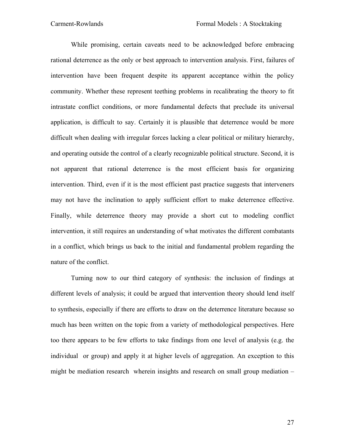While promising, certain caveats need to be acknowledged before embracing rational deterrence as the only or best approach to intervention analysis. First, failures of intervention have been frequent despite its apparent acceptance within the policy community. Whether these represent teething problems in recalibrating the theory to fit intrastate conflict conditions, or more fundamental defects that preclude its universal application, is difficult to say. Certainly it is plausible that deterrence would be more difficult when dealing with irregular forces lacking a clear political or military hierarchy, and operating outside the control of a clearly recognizable political structure. Second, it is not apparent that rational deterrence is the most efficient basis for organizing intervention. Third, even if it is the most efficient past practice suggests that interveners may not have the inclination to apply sufficient effort to make deterrence effective. Finally, while deterrence theory may provide a short cut to modeling conflict intervention, it still requires an understanding of what motivates the different combatants in a conflict, which brings us back to the initial and fundamental problem regarding the nature of the conflict.

 Turning now to our third category of synthesis: the inclusion of findings at different levels of analysis; it could be argued that intervention theory should lend itself to synthesis, especially if there are efforts to draw on the deterrence literature because so much has been written on the topic from a variety of methodological perspectives. Here too there appears to be few efforts to take findings from one level of analysis (e.g. the individual or group) and apply it at higher levels of aggregation. An exception to this might be mediation research wherein insights and research on small group mediation –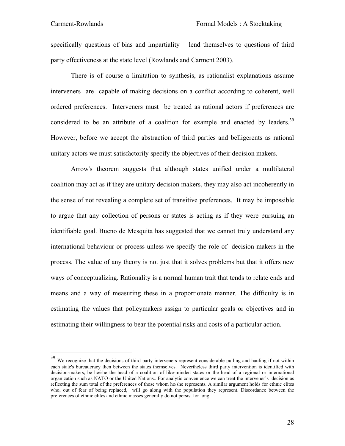specifically questions of bias and impartiality – lend themselves to questions of third party effectiveness at the state level (Rowlands and Carment 2003).

 There is of course a limitation to synthesis, as rationalist explanations assume interveners are capable of making decisions on a conflict according to coherent, well ordered preferences. Interveners must be treated as rational actors if preferences are considered to be an attribute of a coalition for example and enacted by leaders.<sup>39</sup> However, before we accept the abstraction of third parties and belligerents as rational unitary actors we must satisfactorily specify the objectives of their decision makers.

 Arrow's theorem suggests that although states unified under a multilateral coalition may act as if they are unitary decision makers, they may also act incoherently in the sense of not revealing a complete set of transitive preferences. It may be impossible to argue that any collection of persons or states is acting as if they were pursuing an identifiable goal. Bueno de Mesquita has suggested that we cannot truly understand any international behaviour or process unless we specify the role of decision makers in the process. The value of any theory is not just that it solves problems but that it offers new ways of conceptualizing. Rationality is a normal human trait that tends to relate ends and means and a way of measuring these in a proportionate manner. The difficulty is in estimating the values that policymakers assign to particular goals or objectives and in estimating their willingness to bear the potential risks and costs of a particular action.

 $39\,$  We recognize that the decisions of third party interveners represent considerable pulling and hauling if not within each state's bureaucracy then between the states themselves. Nevertheless third party intervention is identified with decision-makers, be he/she the head of a coalition of like-minded states or the head of a regional or international organization such as NATO or the United Nations.. For analytic convenience we can treat the intervener's decision as reflecting the sum total of the preferences of those whom he/she represents. A similar argument holds for ethnic elites who, out of fear of being replaced, will go along with the population they represent. Discordance between the preferences of ethnic elites and ethnic masses generally do not persist for long.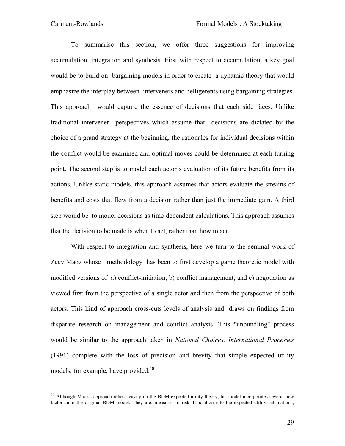To summarise this section, we offer three suggestions for improving accumulation, integration and synthesis. First with respect to accumulation, a key goal would be to build on bargaining models in order to create a dynamic theory that would emphasize the interplay between interveners and belligerents using bargaining strategies. This approach would capture the essence of decisions that each side faces. Unlike traditional intervener perspectives which assume that decisions are dictated by the choice of a grand strategy at the beginning, the rationales for individual decisions within the conflict would be examined and optimal moves could be determined at each turning point. The second step is to model each actor's evaluation of its future benefits from its actions. Unlike static models, this approach assumes that actors evaluate the streams of benefits and costs that flow from a decision rather than just the immediate gain. A third step would be to model decisions as time-dependent calculations. This approach assumes that the decision to be made is when to act, rather than how to act.

With respect to integration and synthesis, here we turn to the seminal work of Zeev Maoz whose methodology has been to first develop a game theoretic model with modified versions of a) conflict-initiation, b) conflict management, and c) negotiation as viewed first from the perspective of a single actor and then from the perspective of both actors. This kind of approach cross-cuts levels of analysis and draws on findings from disparate research on management and conflict analysis. This "unbundling" process would be similar to the approach taken in *National Choices, International Processes* (1991) complete with the loss of precision and brevity that simple expected utility models, for example, have provided.<sup>40</sup>

 $40$  Although Maoz's approach relies heavily on the BDM expected-utility theory, his model incorporates several new factors into the original BDM model. They are: measures of risk disposition into the expected utility calculations;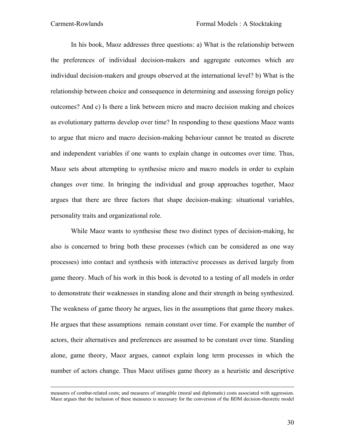In his book, Maoz addresses three questions: a) What is the relationship between the preferences of individual decision-makers and aggregate outcomes which are individual decision-makers and groups observed at the international level? b) What is the relationship between choice and consequence in determining and assessing foreign policy outcomes? And c) Is there a link between micro and macro decision making and choices as evolutionary patterns develop over time? In responding to these questions Maoz wants to argue that micro and macro decision-making behaviour cannot be treated as discrete and independent variables if one wants to explain change in outcomes over time. Thus, Maoz sets about attempting to synthesise micro and macro models in order to explain changes over time. In bringing the individual and group approaches together, Maoz argues that there are three factors that shape decision-making: situational variables, personality traits and organizational role.

While Maoz wants to synthesise these two distinct types of decision-making, he also is concerned to bring both these processes (which can be considered as one way processes) into contact and synthesis with interactive processes as derived largely from game theory. Much of his work in this book is devoted to a testing of all models in order to demonstrate their weaknesses in standing alone and their strength in being synthesized. The weakness of game theory he argues, lies in the assumptions that game theory makes. He argues that these assumptions remain constant over time. For example the number of actors, their alternatives and preferences are assumed to be constant over time. Standing alone, game theory, Maoz argues, cannot explain long term processes in which the number of actors change. Thus Maoz utilises game theory as a heuristic and descriptive

measures of combat-related costs; and measures of intangible (moral and diplomatic) costs associated with aggression. Maoz argues that the inclusion of these measures is necessary for the conversion of the BDM decision-theoretic model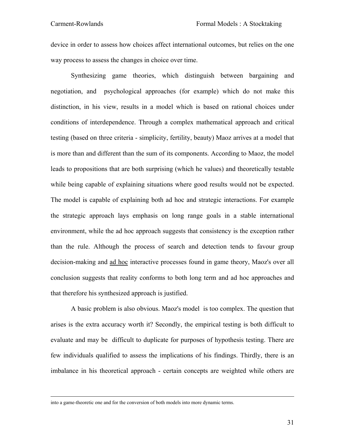device in order to assess how choices affect international outcomes, but relies on the one way process to assess the changes in choice over time.

Synthesizing game theories, which distinguish between bargaining and negotiation, and psychological approaches (for example) which do not make this distinction, in his view, results in a model which is based on rational choices under conditions of interdependence. Through a complex mathematical approach and critical testing (based on three criteria - simplicity, fertility, beauty) Maoz arrives at a model that is more than and different than the sum of its components. According to Maoz, the model leads to propositions that are both surprising (which he values) and theoretically testable while being capable of explaining situations where good results would not be expected. The model is capable of explaining both ad hoc and strategic interactions. For example the strategic approach lays emphasis on long range goals in a stable international environment, while the ad hoc approach suggests that consistency is the exception rather than the rule. Although the process of search and detection tends to favour group decision-making and ad hoc interactive processes found in game theory, Maoz's over all conclusion suggests that reality conforms to both long term and ad hoc approaches and that therefore his synthesized approach is justified.

A basic problem is also obvious. Maoz's model is too complex. The question that arises is the extra accuracy worth it? Secondly, the empirical testing is both difficult to evaluate and may be difficult to duplicate for purposes of hypothesis testing. There are few individuals qualified to assess the implications of his findings. Thirdly, there is an imbalance in his theoretical approach - certain concepts are weighted while others are

into a game-theoretic one and for the conversion of both models into more dynamic terms.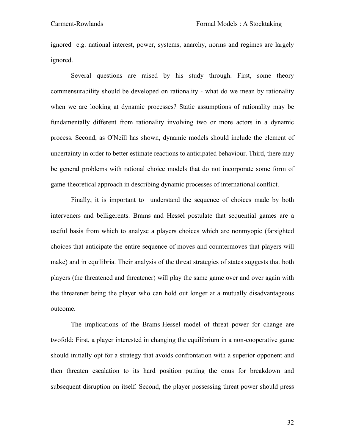ignored e.g. national interest, power, systems, anarchy, norms and regimes are largely ignored.

Several questions are raised by his study through. First, some theory commensurability should be developed on rationality - what do we mean by rationality when we are looking at dynamic processes? Static assumptions of rationality may be fundamentally different from rationality involving two or more actors in a dynamic process. Second, as O'Neill has shown, dynamic models should include the element of uncertainty in order to better estimate reactions to anticipated behaviour. Third, there may be general problems with rational choice models that do not incorporate some form of game-theoretical approach in describing dynamic processes of international conflict.

Finally, it is important to understand the sequence of choices made by both interveners and belligerents. Brams and Hessel postulate that sequential games are a useful basis from which to analyse a players choices which are nonmyopic (farsighted choices that anticipate the entire sequence of moves and countermoves that players will make) and in equilibria. Their analysis of the threat strategies of states suggests that both players (the threatened and threatener) will play the same game over and over again with the threatener being the player who can hold out longer at a mutually disadvantageous outcome.

The implications of the Brams-Hessel model of threat power for change are twofold: First, a player interested in changing the equilibrium in a non-cooperative game should initially opt for a strategy that avoids confrontation with a superior opponent and then threaten escalation to its hard position putting the onus for breakdown and subsequent disruption on itself. Second, the player possessing threat power should press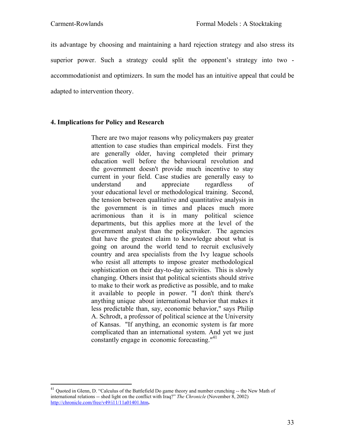its advantage by choosing and maintaining a hard rejection strategy and also stress its superior power. Such a strategy could split the opponent's strategy into two -

accommodationist and optimizers. In sum the model has an intuitive appeal that could be

adapted to intervention theory.

# **4. Implications for Policy and Research**

There are two major reasons why policymakers pay greater attention to case studies than empirical models. First they are generally older, having completed their primary education well before the behavioural revolution and the government doesn't provide much incentive to stay current in your field. Case studies are generally easy to understand and appreciate regardless of your educational level or methodological training. Second, the tension between qualitative and quantitative analysis in the government is in times and places much more acrimonious than it is in many political science departments, but this applies more at the level of the government analyst than the policymaker. The agencies that have the greatest claim to knowledge about what is going on around the world tend to recruit exclusively country and area specialists from the Ivy league schools who resist all attempts to impose greater methodological sophistication on their day-to-day activities. This is slowly changing. Others insist that political scientists should strive to make to their work as predictive as possible, and to make it available to people in power. "I don't think there's anything unique about international behavior that makes it less predictable than, say, economic behavior," says Philip A. Schrodt, a professor of political science at the University of Kansas. "If anything, an economic system is far more complicated than an international system. And yet we just constantly engage in economic forecasting."<sup>41</sup>

<sup>&</sup>lt;sup>41</sup> Quoted in Glenn, D. "Calculus of the Battlefield Do game theory and number crunching -- the New Math of international relations -- shed light on the conflict with Iraq?" *The Chronicle* (November 8, 2002) http://chronicle.com/free/v49/i11/11a01401.htm**.**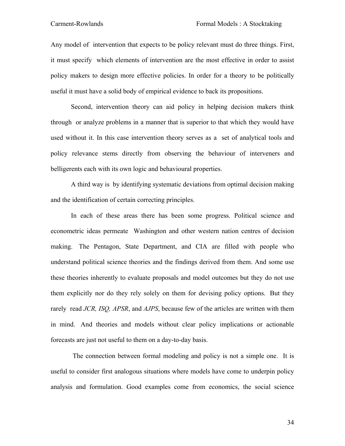Any model of intervention that expects to be policy relevant must do three things. First, it must specify which elements of intervention are the most effective in order to assist policy makers to design more effective policies. In order for a theory to be politically useful it must have a solid body of empirical evidence to back its propositions.

Second, intervention theory can aid policy in helping decision makers think through or analyze problems in a manner that is superior to that which they would have used without it. In this case intervention theory serves as a set of analytical tools and policy relevance stems directly from observing the behaviour of interveners and belligerents each with its own logic and behavioural properties.

A third way is by identifying systematic deviations from optimal decision making and the identification of certain correcting principles.

In each of these areas there has been some progress. Political science and econometric ideas permeate Washington and other western nation centres of decision making. The Pentagon, State Department, and CIA are filled with people who understand political science theories and the findings derived from them. And some use these theories inherently to evaluate proposals and model outcomes but they do not use them explicitly nor do they rely solely on them for devising policy options. But they rarely read *JCR, ISQ, APSR*, and *AJPS*, because few of the articles are written with them in mind. And theories and models without clear policy implications or actionable forecasts are just not useful to them on a day-to-day basis.

 The connection between formal modeling and policy is not a simple one. It is useful to consider first analogous situations where models have come to underpin policy analysis and formulation. Good examples come from economics, the social science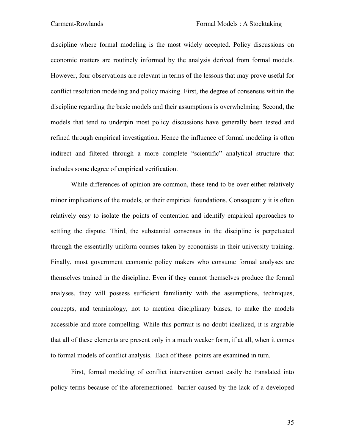discipline where formal modeling is the most widely accepted. Policy discussions on economic matters are routinely informed by the analysis derived from formal models. However, four observations are relevant in terms of the lessons that may prove useful for conflict resolution modeling and policy making. First, the degree of consensus within the discipline regarding the basic models and their assumptions is overwhelming. Second, the models that tend to underpin most policy discussions have generally been tested and refined through empirical investigation. Hence the influence of formal modeling is often indirect and filtered through a more complete "scientific" analytical structure that includes some degree of empirical verification.

 While differences of opinion are common, these tend to be over either relatively minor implications of the models, or their empirical foundations. Consequently it is often relatively easy to isolate the points of contention and identify empirical approaches to settling the dispute. Third, the substantial consensus in the discipline is perpetuated through the essentially uniform courses taken by economists in their university training. Finally, most government economic policy makers who consume formal analyses are themselves trained in the discipline. Even if they cannot themselves produce the formal analyses, they will possess sufficient familiarity with the assumptions, techniques, concepts, and terminology, not to mention disciplinary biases, to make the models accessible and more compelling. While this portrait is no doubt idealized, it is arguable that all of these elements are present only in a much weaker form, if at all, when it comes to formal models of conflict analysis. Each of these points are examined in turn.

 First, formal modeling of conflict intervention cannot easily be translated into policy terms because of the aforementioned barrier caused by the lack of a developed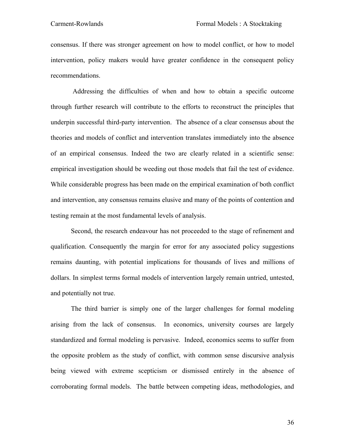consensus. If there was stronger agreement on how to model conflict, or how to model intervention, policy makers would have greater confidence in the consequent policy recommendations.

 Addressing the difficulties of when and how to obtain a specific outcome through further research will contribute to the efforts to reconstruct the principles that underpin successful third-party intervention. The absence of a clear consensus about the theories and models of conflict and intervention translates immediately into the absence of an empirical consensus. Indeed the two are clearly related in a scientific sense: empirical investigation should be weeding out those models that fail the test of evidence. While considerable progress has been made on the empirical examination of both conflict and intervention, any consensus remains elusive and many of the points of contention and testing remain at the most fundamental levels of analysis.

 Second, the research endeavour has not proceeded to the stage of refinement and qualification. Consequently the margin for error for any associated policy suggestions remains daunting, with potential implications for thousands of lives and millions of dollars. In simplest terms formal models of intervention largely remain untried, untested, and potentially not true.

 The third barrier is simply one of the larger challenges for formal modeling arising from the lack of consensus. In economics, university courses are largely standardized and formal modeling is pervasive. Indeed, economics seems to suffer from the opposite problem as the study of conflict, with common sense discursive analysis being viewed with extreme scepticism or dismissed entirely in the absence of corroborating formal models. The battle between competing ideas, methodologies, and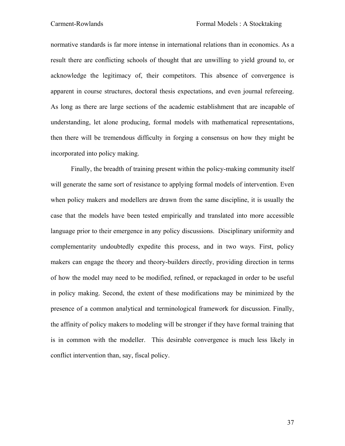normative standards is far more intense in international relations than in economics. As a result there are conflicting schools of thought that are unwilling to yield ground to, or acknowledge the legitimacy of, their competitors. This absence of convergence is apparent in course structures, doctoral thesis expectations, and even journal refereeing. As long as there are large sections of the academic establishment that are incapable of understanding, let alone producing, formal models with mathematical representations, then there will be tremendous difficulty in forging a consensus on how they might be incorporated into policy making.

 Finally, the breadth of training present within the policy-making community itself will generate the same sort of resistance to applying formal models of intervention. Even when policy makers and modellers are drawn from the same discipline, it is usually the case that the models have been tested empirically and translated into more accessible language prior to their emergence in any policy discussions. Disciplinary uniformity and complementarity undoubtedly expedite this process, and in two ways. First, policy makers can engage the theory and theory-builders directly, providing direction in terms of how the model may need to be modified, refined, or repackaged in order to be useful in policy making. Second, the extent of these modifications may be minimized by the presence of a common analytical and terminological framework for discussion. Finally, the affinity of policy makers to modeling will be stronger if they have formal training that is in common with the modeller. This desirable convergence is much less likely in conflict intervention than, say, fiscal policy.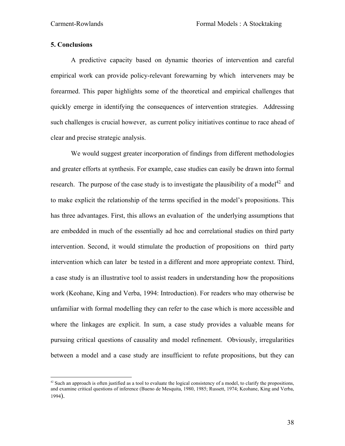# **5. Conclusions**

1

 A predictive capacity based on dynamic theories of intervention and careful empirical work can provide policy-relevant forewarning by which interveners may be forearmed. This paper highlights some of the theoretical and empirical challenges that quickly emerge in identifying the consequences of intervention strategies. Addressing such challenges is crucial however, as current policy initiatives continue to race ahead of clear and precise strategic analysis.

We would suggest greater incorporation of findings from different methodologies and greater efforts at synthesis. For example, case studies can easily be drawn into formal research. The purpose of the case study is to investigate the plausibility of a model<sup>42</sup> and to make explicit the relationship of the terms specified in the model's propositions. This has three advantages. First, this allows an evaluation of the underlying assumptions that are embedded in much of the essentially ad hoc and correlational studies on third party intervention. Second, it would stimulate the production of propositions on third party intervention which can later be tested in a different and more appropriate context. Third, a case study is an illustrative tool to assist readers in understanding how the propositions work (Keohane, King and Verba, 1994: Introduction). For readers who may otherwise be unfamiliar with formal modelling they can refer to the case which is more accessible and where the linkages are explicit. In sum, a case study provides a valuable means for pursuing critical questions of causality and model refinement. Obviously, irregularities between a model and a case study are insufficient to refute propositions, but they can

 $42$  Such an approach is often justified as a tool to evaluate the logical consistency of a model, to clarify the propositions, and examine critical questions of inference (Bueno de Mesquita, 1980, 1985; Russett, 1974; Keohane, King and Verba, 1994).